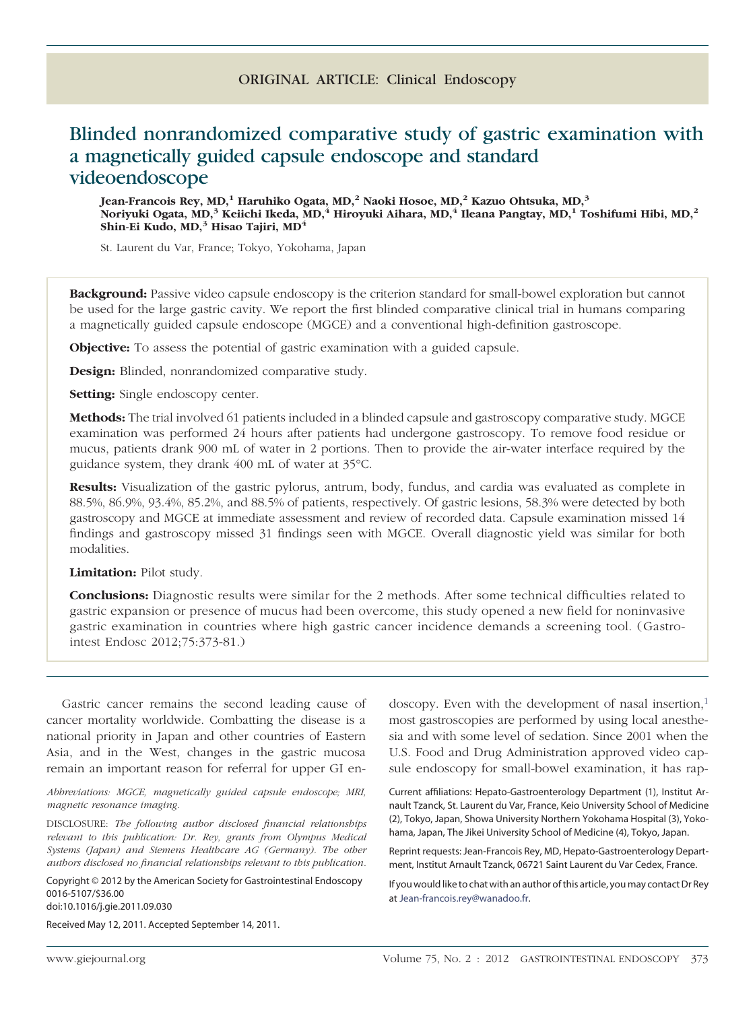# ORIGINAL ARTICLE: Clinical Endoscopy

# Blinded nonrandomized comparative study of gastric examination with a magnetically guided capsule endoscope and standard videoendoscope

**Jean-Francois Rey, MD,1 Haruhiko Ogata, MD,2 Naoki Hosoe, MD,2 Kazuo Ohtsuka, MD,3 Noriyuki Ogata, MD,3 Keiichi Ikeda, MD,4 Hiroyuki Aihara, MD,4 Ileana Pangtay, MD,1 Toshifumi Hibi, MD,2 Shin-Ei Kudo, MD,3 Hisao Tajiri, MD4**

St. Laurent du Var, France; Tokyo, Yokohama, Japan

**Background:** Passive video capsule endoscopy is the criterion standard for small-bowel exploration but cannot be used for the large gastric cavity. We report the first blinded comparative clinical trial in humans comparing a magnetically guided capsule endoscope (MGCE) and a conventional high-definition gastroscope.

**Objective:** To assess the potential of gastric examination with a guided capsule.

**Design:** Blinded, nonrandomized comparative study.

**Setting:** Single endoscopy center.

**Methods:** The trial involved 61 patients included in a blinded capsule and gastroscopy comparative study. MGCE examination was performed 24 hours after patients had undergone gastroscopy. To remove food residue or mucus, patients drank 900 mL of water in 2 portions. Then to provide the air-water interface required by the guidance system, they drank 400 mL of water at 35°C.

**Results:** Visualization of the gastric pylorus, antrum, body, fundus, and cardia was evaluated as complete in 88.5%, 86.9%, 93.4%, 85.2%, and 88.5% of patients, respectively. Of gastric lesions, 58.3% were detected by both gastroscopy and MGCE at immediate assessment and review of recorded data. Capsule examination missed 14 findings and gastroscopy missed 31 findings seen with MGCE. Overall diagnostic yield was similar for both modalities.

**Limitation:** Pilot study.

**Conclusions:** Diagnostic results were similar for the 2 methods. After some technical difficulties related to gastric expansion or presence of mucus had been overcome, this study opened a new field for noninvasive gastric examination in countries where high gastric cancer incidence demands a screening tool. (Gastrointest Endosc 2012;75:373-81.)

Gastric cancer remains the second leading cause of cancer mortality worldwide. Combatting the disease is a national priority in Japan and other countries of Eastern Asia, and in the West, changes in the gastric mucosa remain an important reason for referral for upper GI en-

*Abbreviations: MGCE, magnetically guided capsule endoscope; MRI, magnetic resonance imaging.*

DISCLOSURE: *The following author disclosed financial relationships relevant to this publication: Dr. Rey, grants from Olympus Medical Systems (Japan) and Siemens Healthcare AG (Germany). The other authors disclosed no financial relationships relevant to this publication.*

Copyright © 2012 by the American Society for Gastrointestinal Endoscopy 0016-5107/\$36.00

doi:10.1016/j.gie.2011.09.030

Received May 12, 2011. Accepted September 14, 2011.

doscopy. Even with the development of nasal insertion, $<sup>1</sup>$ </sup> most gastroscopies are performed by using local anesthesia and with some level of sedation. Since 2001 when the U.S. Food and Drug Administration approved video capsule endoscopy for small-bowel examination, it has rap-

Current affiliations: Hepato-Gastroenterology Department (1), Institut Arnault Tzanck, St. Laurent du Var, France, Keio University School of Medicine (2), Tokyo, Japan, Showa University Northern Yokohama Hospital (3), Yokohama, Japan, The Jikei University School of Medicine (4), Tokyo, Japan.

Reprint requests: Jean-Francois Rey, MD, Hepato-Gastroenterology Department, Institut Arnault Tzanck, 06721 Saint Laurent du Var Cedex, France.

If you would like to chat with an author of this article, you may contact Dr Rey at [Jean-francois.rey@wanadoo.fr.](mailto:Jean-francois.rey@wanadoo.fr)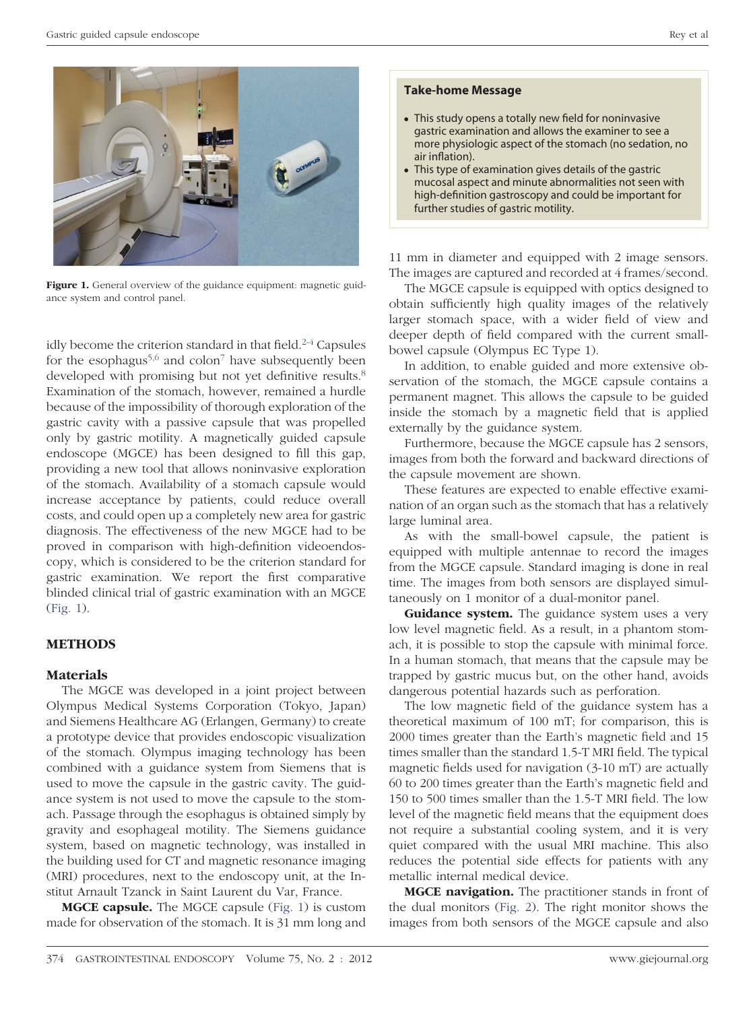

Figure 1. General overview of the guidance equipment: magnetic guidance system and control panel.

idly become the criterion standard in that field.<sup>2-4</sup> Capsules for the esophagus<sup>5,6</sup> and colon<sup>7</sup> have subsequently been developed with promising but not yet definitive results.<sup>8</sup> Examination of the stomach, however, remained a hurdle because of the impossibility of thorough exploration of the gastric cavity with a passive capsule that was propelled only by gastric motility. A magnetically guided capsule endoscope (MGCE) has been designed to fill this gap, providing a new tool that allows noninvasive exploration of the stomach. Availability of a stomach capsule would increase acceptance by patients, could reduce overall costs, and could open up a completely new area for gastric diagnosis. The effectiveness of the new MGCE had to be proved in comparison with high-definition videoendoscopy, which is considered to be the criterion standard for gastric examination. We report the first comparative blinded clinical trial of gastric examination with an MGCE (Fig. 1).

# **METHODS**

## **Materials**

The MGCE was developed in a joint project between Olympus Medical Systems Corporation (Tokyo, Japan) and Siemens Healthcare AG (Erlangen, Germany) to create a prototype device that provides endoscopic visualization of the stomach. Olympus imaging technology has been combined with a guidance system from Siemens that is used to move the capsule in the gastric cavity. The guidance system is not used to move the capsule to the stomach. Passage through the esophagus is obtained simply by gravity and esophageal motility. The Siemens guidance system, based on magnetic technology, was installed in the building used for CT and magnetic resonance imaging (MRI) procedures, next to the endoscopy unit, at the Institut Arnault Tzanck in Saint Laurent du Var, France.

**MGCE capsule.** The MGCE capsule (Fig. 1) is custom made for observation of the stomach. It is 31 mm long and

#### **Take-home Message**

- This study opens a totally new field for noninvasive gastric examination and allows the examiner to see a more physiologic aspect of the stomach (no sedation, no air inflation).
- This type of examination gives details of the gastric mucosal aspect and minute abnormalities not seen with high-definition gastroscopy and could be important for further studies of gastric motility.

11 mm in diameter and equipped with 2 image sensors. The images are captured and recorded at 4 frames/second.

The MGCE capsule is equipped with optics designed to obtain sufficiently high quality images of the relatively larger stomach space, with a wider field of view and deeper depth of field compared with the current smallbowel capsule (Olympus EC Type 1).

In addition, to enable guided and more extensive observation of the stomach, the MGCE capsule contains a permanent magnet. This allows the capsule to be guided inside the stomach by a magnetic field that is applied externally by the guidance system.

Furthermore, because the MGCE capsule has 2 sensors, images from both the forward and backward directions of the capsule movement are shown.

These features are expected to enable effective examination of an organ such as the stomach that has a relatively large luminal area.

As with the small-bowel capsule, the patient is equipped with multiple antennae to record the images from the MGCE capsule. Standard imaging is done in real time. The images from both sensors are displayed simultaneously on 1 monitor of a dual-monitor panel.

**Guidance system.** The guidance system uses a very low level magnetic field. As a result, in a phantom stomach, it is possible to stop the capsule with minimal force. In a human stomach, that means that the capsule may be trapped by gastric mucus but, on the other hand, avoids dangerous potential hazards such as perforation.

The low magnetic field of the guidance system has a theoretical maximum of 100 mT; for comparison, this is 2000 times greater than the Earth's magnetic field and 15 times smaller than the standard 1.5-T MRI field. The typical magnetic fields used for navigation (3-10 mT) are actually 60 to 200 times greater than the Earth's magnetic field and 150 to 500 times smaller than the 1.5-T MRI field. The low level of the magnetic field means that the equipment does not require a substantial cooling system, and it is very quiet compared with the usual MRI machine. This also reduces the potential side effects for patients with any metallic internal medical device.

**MGCE navigation.** The practitioner stands in front of the dual monitors (Fig. 2). The right monitor shows the images from both sensors of the MGCE capsule and also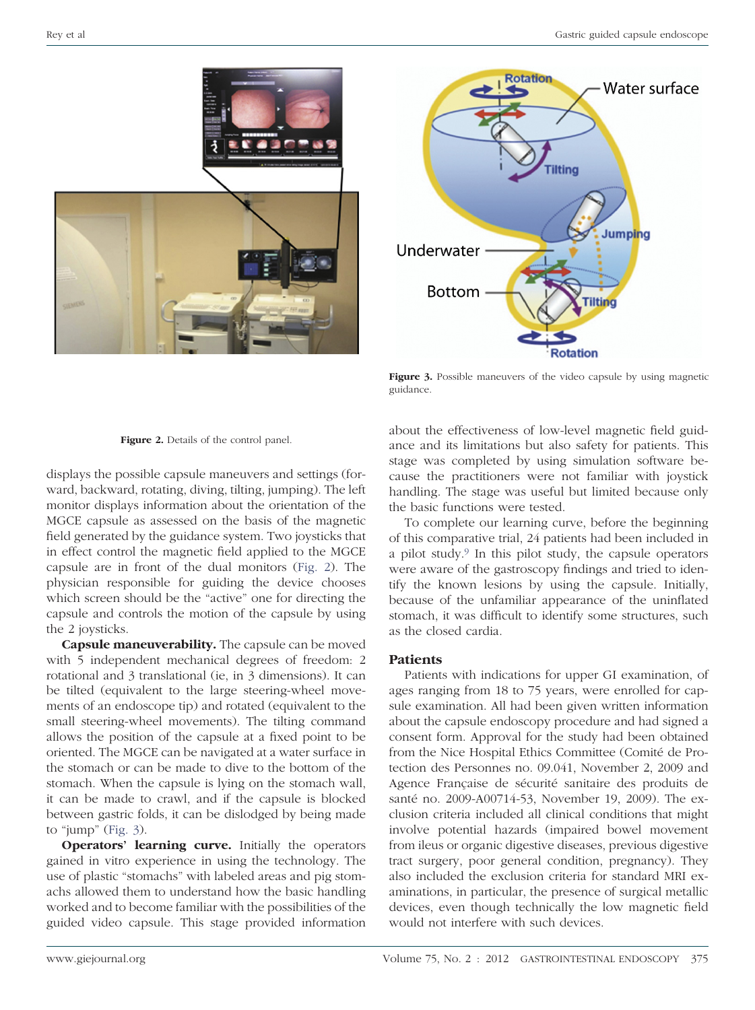

Figure 3. Possible maneuvers of the video capsule by using magnetic guidance.



displays the possible capsule maneuvers and settings (forward, backward, rotating, diving, tilting, jumping). The left monitor displays information about the orientation of the MGCE capsule as assessed on the basis of the magnetic field generated by the guidance system. Two joysticks that in effect control the magnetic field applied to the MGCE capsule are in front of the dual monitors (Fig. 2). The physician responsible for guiding the device chooses which screen should be the "active" one for directing the capsule and controls the motion of the capsule by using the 2 joysticks.

**Capsule maneuverability.** The capsule can be moved with 5 independent mechanical degrees of freedom: 2 rotational and 3 translational (ie, in 3 dimensions). It can be tilted (equivalent to the large steering-wheel movements of an endoscope tip) and rotated (equivalent to the small steering-wheel movements). The tilting command allows the position of the capsule at a fixed point to be oriented. The MGCE can be navigated at a water surface in the stomach or can be made to dive to the bottom of the stomach. When the capsule is lying on the stomach wall, it can be made to crawl, and if the capsule is blocked between gastric folds, it can be dislodged by being made to "jump" (Fig.  $3$ ).

**Operators' learning curve.** Initially the operators gained in vitro experience in using the technology. The use of plastic "stomachs" with labeled areas and pig stomachs allowed them to understand how the basic handling worked and to become familiar with the possibilities of the guided video capsule. This stage provided information

about the effectiveness of low-level magnetic field guidance and its limitations but also safety for patients. This stage was completed by using simulation software because the practitioners were not familiar with joystick handling. The stage was useful but limited because only the basic functions were tested.

To complete our learning curve, before the beginning of this comparative trial, 24 patients had been included in a pilot study.9 In this pilot study, the capsule operators were aware of the gastroscopy findings and tried to identify the known lesions by using the capsule. Initially, because of the unfamiliar appearance of the uninflated stomach, it was difficult to identify some structures, such as the closed cardia.

# **Patients**

Patients with indications for upper GI examination, of ages ranging from 18 to 75 years, were enrolled for capsule examination. All had been given written information about the capsule endoscopy procedure and had signed a consent form. Approval for the study had been obtained from the Nice Hospital Ethics Committee (Comité de Protection des Personnes no. 09.041, November 2, 2009 and Agence Française de sécurité sanitaire des produits de santé no. 2009-A00714-53, November 19, 2009). The exclusion criteria included all clinical conditions that might involve potential hazards (impaired bowel movement from ileus or organic digestive diseases, previous digestive tract surgery, poor general condition, pregnancy). They also included the exclusion criteria for standard MRI examinations, in particular, the presence of surgical metallic devices, even though technically the low magnetic field would not interfere with such devices.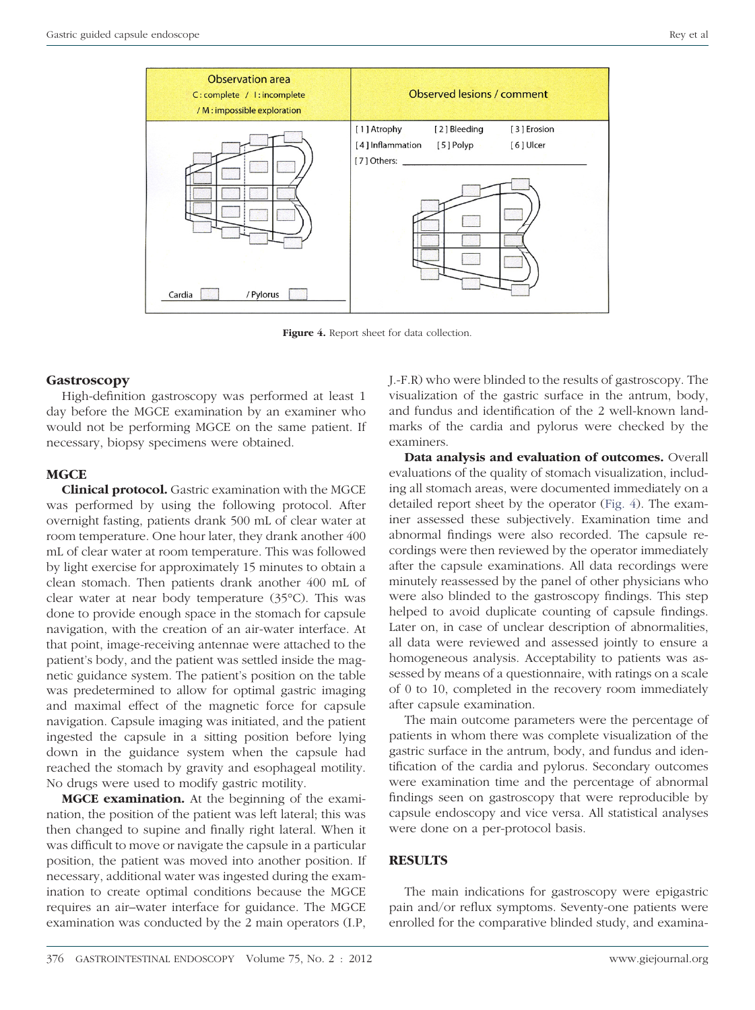

**Figure 4.** Report sheet for data collection.

# **Gastroscopy**

High-definition gastroscopy was performed at least 1 day before the MGCE examination by an examiner who would not be performing MGCE on the same patient. If necessary, biopsy specimens were obtained.

# **MGCE**

**Clinical protocol.** Gastric examination with the MGCE was performed by using the following protocol. After overnight fasting, patients drank 500 mL of clear water at room temperature. One hour later, they drank another 400 mL of clear water at room temperature. This was followed by light exercise for approximately 15 minutes to obtain a clean stomach. Then patients drank another 400 mL of clear water at near body temperature (35°C). This was done to provide enough space in the stomach for capsule navigation, with the creation of an air-water interface. At that point, image-receiving antennae were attached to the patient's body, and the patient was settled inside the magnetic guidance system. The patient's position on the table was predetermined to allow for optimal gastric imaging and maximal effect of the magnetic force for capsule navigation. Capsule imaging was initiated, and the patient ingested the capsule in a sitting position before lying down in the guidance system when the capsule had reached the stomach by gravity and esophageal motility. No drugs were used to modify gastric motility.

**MGCE examination.** At the beginning of the examination, the position of the patient was left lateral; this was then changed to supine and finally right lateral. When it was difficult to move or navigate the capsule in a particular position, the patient was moved into another position. If necessary, additional water was ingested during the examination to create optimal conditions because the MGCE requires an air–water interface for guidance. The MGCE examination was conducted by the 2 main operators (I.P,

J.-F.R) who were blinded to the results of gastroscopy. The visualization of the gastric surface in the antrum, body, and fundus and identification of the 2 well-known landmarks of the cardia and pylorus were checked by the examiners.

**Data analysis and evaluation of outcomes.** Overall evaluations of the quality of stomach visualization, including all stomach areas, were documented immediately on a detailed report sheet by the operator (Fig. 4). The examiner assessed these subjectively. Examination time and abnormal findings were also recorded. The capsule recordings were then reviewed by the operator immediately after the capsule examinations. All data recordings were minutely reassessed by the panel of other physicians who were also blinded to the gastroscopy findings. This step helped to avoid duplicate counting of capsule findings. Later on, in case of unclear description of abnormalities, all data were reviewed and assessed jointly to ensure a homogeneous analysis. Acceptability to patients was assessed by means of a questionnaire, with ratings on a scale of 0 to 10, completed in the recovery room immediately after capsule examination.

The main outcome parameters were the percentage of patients in whom there was complete visualization of the gastric surface in the antrum, body, and fundus and identification of the cardia and pylorus. Secondary outcomes were examination time and the percentage of abnormal findings seen on gastroscopy that were reproducible by capsule endoscopy and vice versa. All statistical analyses were done on a per-protocol basis.

# **RESULTS**

The main indications for gastroscopy were epigastric pain and/or reflux symptoms. Seventy-one patients were enrolled for the comparative blinded study, and examina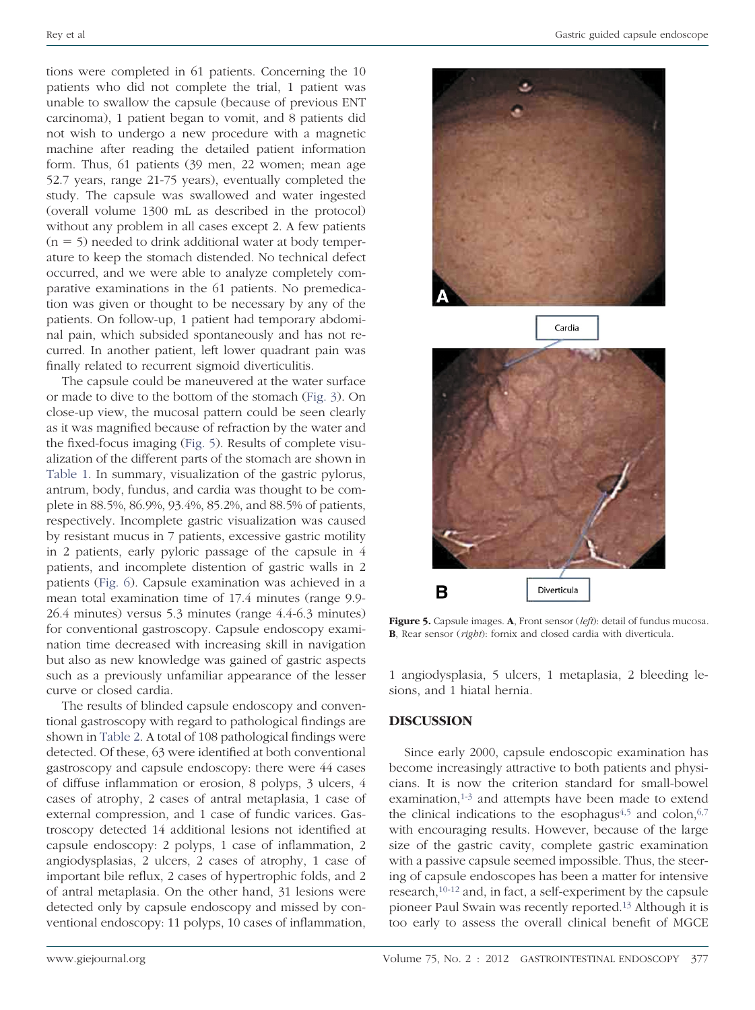tions were completed in 61 patients. Concerning the 10 patients who did not complete the trial, 1 patient was unable to swallow the capsule (because of previous ENT carcinoma), 1 patient began to vomit, and 8 patients did not wish to undergo a new procedure with a magnetic machine after reading the detailed patient information form. Thus, 61 patients (39 men, 22 women; mean age 52.7 years, range 21-75 years), eventually completed the study. The capsule was swallowed and water ingested (overall volume 1300 mL as described in the protocol) without any problem in all cases except 2. A few patients  $(n = 5)$  needed to drink additional water at body temperature to keep the stomach distended. No technical defect occurred, and we were able to analyze completely comparative examinations in the 61 patients. No premedication was given or thought to be necessary by any of the patients. On follow-up, 1 patient had temporary abdominal pain, which subsided spontaneously and has not recurred. In another patient, left lower quadrant pain was finally related to recurrent sigmoid diverticulitis.

The capsule could be maneuvered at the water surface or made to dive to the bottom of the stomach (Fig. 3). On close-up view, the mucosal pattern could be seen clearly as it was magnified because of refraction by the water and the fixed-focus imaging (Fig. 5). Results of complete visualization of the different parts of the stomach are shown in Table 1. In summary, visualization of the gastric pylorus, antrum, body, fundus, and cardia was thought to be complete in 88.5%, 86.9%, 93.4%, 85.2%, and 88.5% of patients, respectively. Incomplete gastric visualization was caused by resistant mucus in 7 patients, excessive gastric motility in 2 patients, early pyloric passage of the capsule in 4 patients, and incomplete distention of gastric walls in 2 patients (Fig. 6). Capsule examination was achieved in a mean total examination time of 17.4 minutes (range 9.9- 26.4 minutes) versus 5.3 minutes (range 4.4-6.3 minutes) for conventional gastroscopy. Capsule endoscopy examination time decreased with increasing skill in navigation but also as new knowledge was gained of gastric aspects such as a previously unfamiliar appearance of the lesser curve or closed cardia.

The results of blinded capsule endoscopy and conventional gastroscopy with regard to pathological findings are shown in Table 2. A total of 108 pathological findings were detected. Of these, 63 were identified at both conventional gastroscopy and capsule endoscopy: there were 44 cases of diffuse inflammation or erosion, 8 polyps, 3 ulcers, 4 cases of atrophy, 2 cases of antral metaplasia, 1 case of external compression, and 1 case of fundic varices. Gastroscopy detected 14 additional lesions not identified at capsule endoscopy: 2 polyps, 1 case of inflammation, 2 angiodysplasias, 2 ulcers, 2 cases of atrophy, 1 case of important bile reflux, 2 cases of hypertrophic folds, and 2 of antral metaplasia. On the other hand, 31 lesions were detected only by capsule endoscopy and missed by conventional endoscopy: 11 polyps, 10 cases of inflammation,





Figure 5. Capsule images. **A**, Front sensor (*left*): detail of fundus mucosa. **B**, Rear sensor (*right*): fornix and closed cardia with diverticula.

1 angiodysplasia, 5 ulcers, 1 metaplasia, 2 bleeding lesions, and 1 hiatal hernia.

## **DISCUSSION**

Since early 2000, capsule endoscopic examination has become increasingly attractive to both patients and physicians. It is now the criterion standard for small-bowel examination, $1-3$  and attempts have been made to extend the clinical indications to the esophagus<sup>4,5</sup> and colon,  $6,7$ with encouraging results. However, because of the large size of the gastric cavity, complete gastric examination with a passive capsule seemed impossible. Thus, the steering of capsule endoscopes has been a matter for intensive research,10-12 and, in fact, a self-experiment by the capsule pioneer Paul Swain was recently reported.13 Although it is too early to assess the overall clinical benefit of MGCE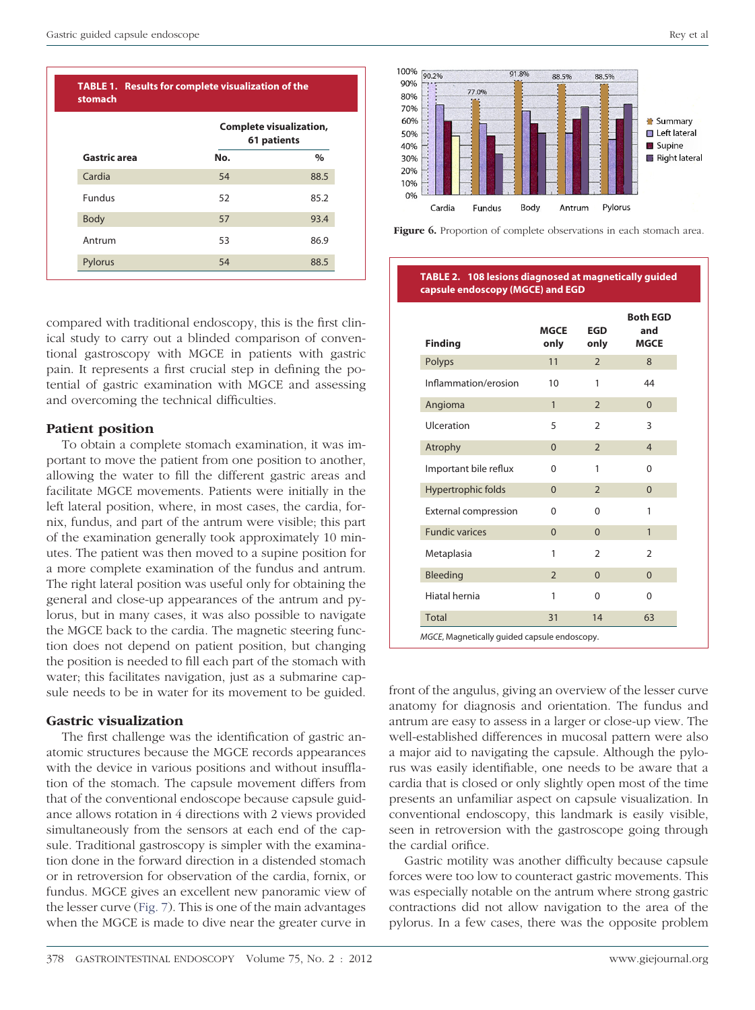|               | <b>Complete visualization,</b><br>61 patients |      |
|---------------|-----------------------------------------------|------|
| Gastric area  | No.                                           | $\%$ |
| Cardia        | 54                                            | 88.5 |
| <b>Fundus</b> | 52                                            | 85.2 |
| Body          | 57                                            | 93.4 |
| Antrum        | 53                                            | 86.9 |
| Pylorus       | 54                                            | 88.5 |

compared with traditional endoscopy, this is the first clinical study to carry out a blinded comparison of conventional gastroscopy with MGCE in patients with gastric pain. It represents a first crucial step in defining the potential of gastric examination with MGCE and assessing and overcoming the technical difficulties.

# **Patient position**

To obtain a complete stomach examination, it was important to move the patient from one position to another, allowing the water to fill the different gastric areas and facilitate MGCE movements. Patients were initially in the left lateral position, where, in most cases, the cardia, fornix, fundus, and part of the antrum were visible; this part of the examination generally took approximately 10 minutes. The patient was then moved to a supine position for a more complete examination of the fundus and antrum. The right lateral position was useful only for obtaining the general and close-up appearances of the antrum and pylorus, but in many cases, it was also possible to navigate the MGCE back to the cardia. The magnetic steering function does not depend on patient position, but changing the position is needed to fill each part of the stomach with water; this facilitates navigation, just as a submarine capsule needs to be in water for its movement to be guided.

## **Gastric visualization**

The first challenge was the identification of gastric anatomic structures because the MGCE records appearances with the device in various positions and without insufflation of the stomach. The capsule movement differs from that of the conventional endoscope because capsule guidance allows rotation in 4 directions with 2 views provided simultaneously from the sensors at each end of the capsule. Traditional gastroscopy is simpler with the examination done in the forward direction in a distended stomach or in retroversion for observation of the cardia, fornix, or fundus. MGCE gives an excellent new panoramic view of the lesser curve (Fig. 7). This is one of the main advantages when the MGCE is made to dive near the greater curve in





#### **TABLE 2. 108 lesions diagnosed at magnetically guided capsule endoscopy (MGCE) and EGD**

| <b>Finding</b>              | <b>MGCE</b><br>only | <b>EGD</b><br>only | <b>Both EGD</b><br>and<br><b>MGCE</b> |
|-----------------------------|---------------------|--------------------|---------------------------------------|
| Polyps                      | 11                  | $\overline{2}$     | 8                                     |
| Inflammation/erosion        | 10                  | 1                  | 44                                    |
| Angioma                     | $\mathbf{1}$        | $\overline{2}$     | $\Omega$                              |
| Ulceration                  | 5                   | $\mathcal{P}$      | 3                                     |
| Atrophy                     | $\overline{0}$      | $\overline{2}$     | $\overline{4}$                        |
| Important bile reflux       | $\Omega$            | 1                  | $\Omega$                              |
| Hypertrophic folds          | $\Omega$            | $\overline{2}$     | $\Omega$                              |
| <b>External compression</b> | 0                   | 0                  | 1                                     |
| <b>Fundic varices</b>       | $\Omega$            | $\Omega$           | $\mathbf{1}$                          |
| Metaplasia                  | 1                   | $\mathcal{P}$      | $\overline{2}$                        |
| Bleeding                    | $\mathcal{P}$       | $\Omega$           | $\Omega$                              |
| Hiatal hernia               | 1                   | 0                  | $\Omega$                              |
| <b>Total</b>                | 31                  | 14                 | 63                                    |

front of the angulus, giving an overview of the lesser curve anatomy for diagnosis and orientation. The fundus and antrum are easy to assess in a larger or close-up view. The well-established differences in mucosal pattern were also a major aid to navigating the capsule. Although the pylorus was easily identifiable, one needs to be aware that a cardia that is closed or only slightly open most of the time presents an unfamiliar aspect on capsule visualization. In conventional endoscopy, this landmark is easily visible, seen in retroversion with the gastroscope going through the cardial orifice.

Gastric motility was another difficulty because capsule forces were too low to counteract gastric movements. This was especially notable on the antrum where strong gastric contractions did not allow navigation to the area of the pylorus. In a few cases, there was the opposite problem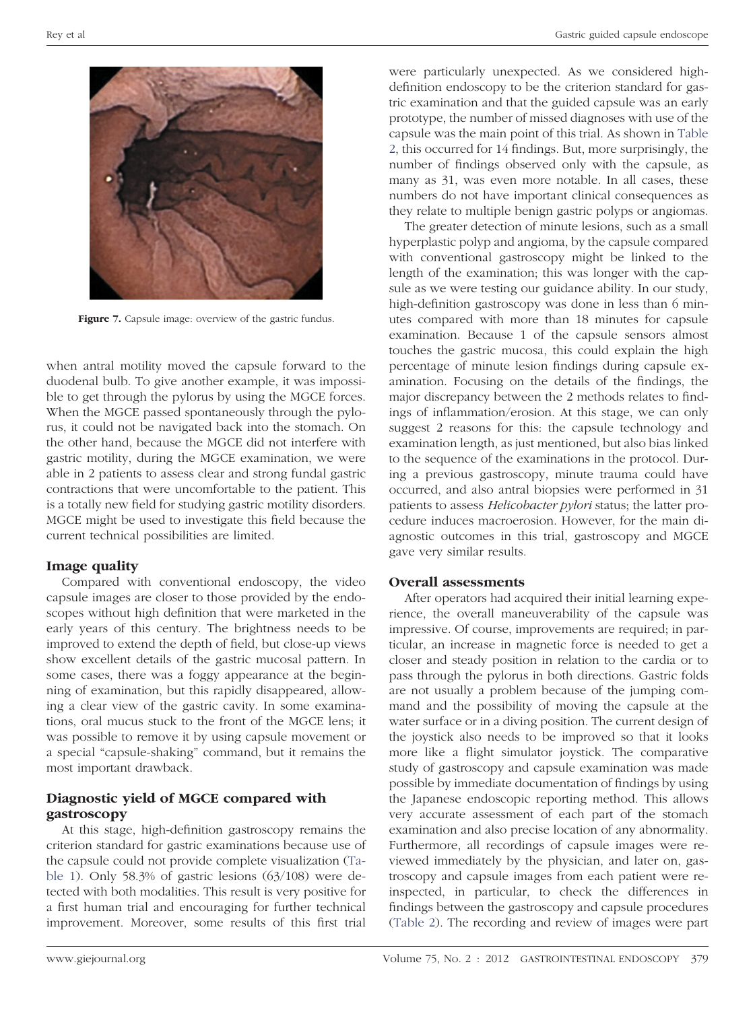

**Figure 7.** Capsule image: overview of the gastric fundus.

when antral motility moved the capsule forward to the duodenal bulb. To give another example, it was impossible to get through the pylorus by using the MGCE forces. When the MGCE passed spontaneously through the pylorus, it could not be navigated back into the stomach. On the other hand, because the MGCE did not interfere with gastric motility, during the MGCE examination, we were able in 2 patients to assess clear and strong fundal gastric contractions that were uncomfortable to the patient. This is a totally new field for studying gastric motility disorders. MGCE might be used to investigate this field because the current technical possibilities are limited.

# **Image quality**

Compared with conventional endoscopy, the video capsule images are closer to those provided by the endoscopes without high definition that were marketed in the early years of this century. The brightness needs to be improved to extend the depth of field, but close-up views show excellent details of the gastric mucosal pattern. In some cases, there was a foggy appearance at the beginning of examination, but this rapidly disappeared, allowing a clear view of the gastric cavity. In some examinations, oral mucus stuck to the front of the MGCE lens; it was possible to remove it by using capsule movement or a special "capsule-shaking" command, but it remains the most important drawback.

# **Diagnostic yield of MGCE compared with gastroscopy**

At this stage, high-definition gastroscopy remains the criterion standard for gastric examinations because use of the capsule could not provide complete visualization (Table 1). Only 58.3% of gastric lesions (63/108) were detected with both modalities. This result is very positive for a first human trial and encouraging for further technical improvement. Moreover, some results of this first trial

were particularly unexpected. As we considered highdefinition endoscopy to be the criterion standard for gastric examination and that the guided capsule was an early prototype, the number of missed diagnoses with use of the capsule was the main point of this trial. As shown in Table 2, this occurred for 14 findings. But, more surprisingly, the number of findings observed only with the capsule, as many as 31, was even more notable. In all cases, these numbers do not have important clinical consequences as they relate to multiple benign gastric polyps or angiomas.

The greater detection of minute lesions, such as a small hyperplastic polyp and angioma, by the capsule compared with conventional gastroscopy might be linked to the length of the examination; this was longer with the capsule as we were testing our guidance ability. In our study, high-definition gastroscopy was done in less than 6 minutes compared with more than 18 minutes for capsule examination. Because 1 of the capsule sensors almost touches the gastric mucosa, this could explain the high percentage of minute lesion findings during capsule examination. Focusing on the details of the findings, the major discrepancy between the 2 methods relates to findings of inflammation/erosion. At this stage, we can only suggest 2 reasons for this: the capsule technology and examination length, as just mentioned, but also bias linked to the sequence of the examinations in the protocol. During a previous gastroscopy, minute trauma could have occurred, and also antral biopsies were performed in 31 patients to assess *Helicobacter pylori* status; the latter procedure induces macroerosion. However, for the main diagnostic outcomes in this trial, gastroscopy and MGCE gave very similar results.

# **Overall assessments**

After operators had acquired their initial learning experience, the overall maneuverability of the capsule was impressive. Of course, improvements are required; in particular, an increase in magnetic force is needed to get a closer and steady position in relation to the cardia or to pass through the pylorus in both directions. Gastric folds are not usually a problem because of the jumping command and the possibility of moving the capsule at the water surface or in a diving position. The current design of the joystick also needs to be improved so that it looks more like a flight simulator joystick. The comparative study of gastroscopy and capsule examination was made possible by immediate documentation of findings by using the Japanese endoscopic reporting method. This allows very accurate assessment of each part of the stomach examination and also precise location of any abnormality. Furthermore, all recordings of capsule images were reviewed immediately by the physician, and later on, gastroscopy and capsule images from each patient were reinspected, in particular, to check the differences in findings between the gastroscopy and capsule procedures (Table 2). The recording and review of images were part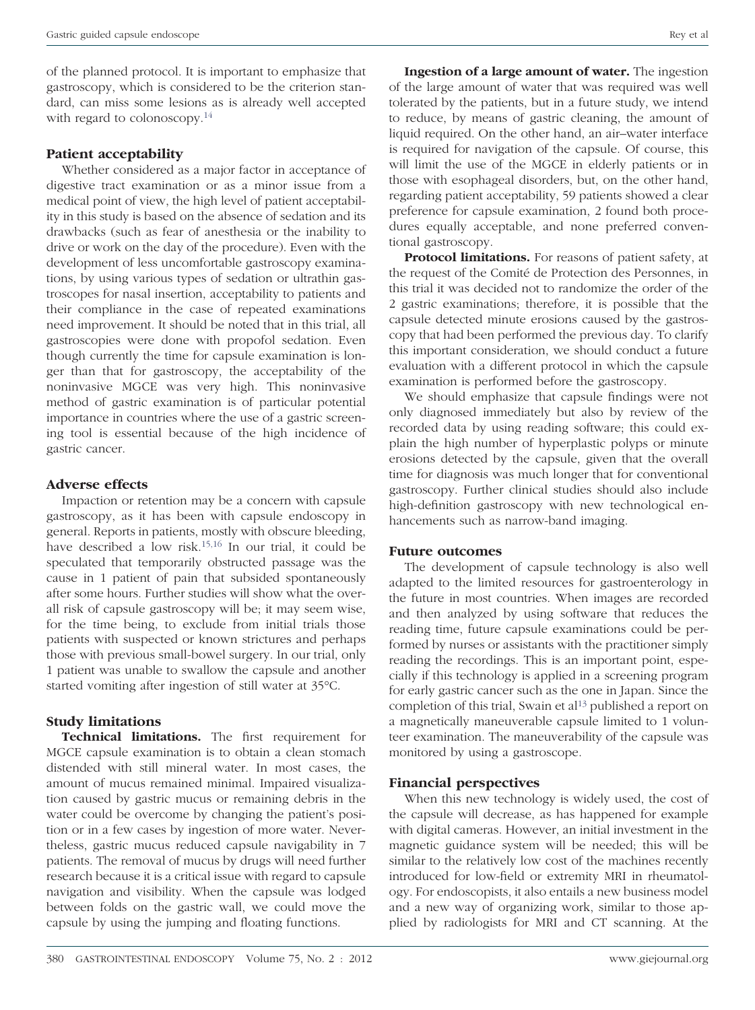of the planned protocol. It is important to emphasize that gastroscopy, which is considered to be the criterion standard, can miss some lesions as is already well accepted with regard to colonoscopy.<sup>14</sup>

### **Patient acceptability**

Whether considered as a major factor in acceptance of digestive tract examination or as a minor issue from a medical point of view, the high level of patient acceptability in this study is based on the absence of sedation and its drawbacks (such as fear of anesthesia or the inability to drive or work on the day of the procedure). Even with the development of less uncomfortable gastroscopy examinations, by using various types of sedation or ultrathin gastroscopes for nasal insertion, acceptability to patients and their compliance in the case of repeated examinations need improvement. It should be noted that in this trial, all gastroscopies were done with propofol sedation. Even though currently the time for capsule examination is longer than that for gastroscopy, the acceptability of the noninvasive MGCE was very high. This noninvasive method of gastric examination is of particular potential importance in countries where the use of a gastric screening tool is essential because of the high incidence of gastric cancer.

### **Adverse effects**

Impaction or retention may be a concern with capsule gastroscopy, as it has been with capsule endoscopy in general. Reports in patients, mostly with obscure bleeding, have described a low risk.15,16 In our trial, it could be speculated that temporarily obstructed passage was the cause in 1 patient of pain that subsided spontaneously after some hours. Further studies will show what the overall risk of capsule gastroscopy will be; it may seem wise, for the time being, to exclude from initial trials those patients with suspected or known strictures and perhaps those with previous small-bowel surgery. In our trial, only 1 patient was unable to swallow the capsule and another started vomiting after ingestion of still water at 35°C.

## **Study limitations**

**Technical limitations.** The first requirement for MGCE capsule examination is to obtain a clean stomach distended with still mineral water. In most cases, the amount of mucus remained minimal. Impaired visualization caused by gastric mucus or remaining debris in the water could be overcome by changing the patient's position or in a few cases by ingestion of more water. Nevertheless, gastric mucus reduced capsule navigability in 7 patients. The removal of mucus by drugs will need further research because it is a critical issue with regard to capsule navigation and visibility. When the capsule was lodged between folds on the gastric wall, we could move the capsule by using the jumping and floating functions.

**Ingestion of a large amount of water.** The ingestion of the large amount of water that was required was well tolerated by the patients, but in a future study, we intend to reduce, by means of gastric cleaning, the amount of liquid required. On the other hand, an air–water interface is required for navigation of the capsule. Of course, this will limit the use of the MGCE in elderly patients or in those with esophageal disorders, but, on the other hand, regarding patient acceptability, 59 patients showed a clear preference for capsule examination, 2 found both procedures equally acceptable, and none preferred conventional gastroscopy.

**Protocol limitations.** For reasons of patient safety, at the request of the Comité de Protection des Personnes, in this trial it was decided not to randomize the order of the 2 gastric examinations; therefore, it is possible that the capsule detected minute erosions caused by the gastroscopy that had been performed the previous day. To clarify this important consideration, we should conduct a future evaluation with a different protocol in which the capsule examination is performed before the gastroscopy.

We should emphasize that capsule findings were not only diagnosed immediately but also by review of the recorded data by using reading software; this could explain the high number of hyperplastic polyps or minute erosions detected by the capsule, given that the overall time for diagnosis was much longer that for conventional gastroscopy. Further clinical studies should also include high-definition gastroscopy with new technological enhancements such as narrow-band imaging.

#### **Future outcomes**

The development of capsule technology is also well adapted to the limited resources for gastroenterology in the future in most countries. When images are recorded and then analyzed by using software that reduces the reading time, future capsule examinations could be performed by nurses or assistants with the practitioner simply reading the recordings. This is an important point, especially if this technology is applied in a screening program for early gastric cancer such as the one in Japan. Since the completion of this trial, Swain et al<sup>13</sup> published a report on a magnetically maneuverable capsule limited to 1 volunteer examination. The maneuverability of the capsule was monitored by using a gastroscope.

#### **Financial perspectives**

When this new technology is widely used, the cost of the capsule will decrease, as has happened for example with digital cameras. However, an initial investment in the magnetic guidance system will be needed; this will be similar to the relatively low cost of the machines recently introduced for low-field or extremity MRI in rheumatology. For endoscopists, it also entails a new business model and a new way of organizing work, similar to those applied by radiologists for MRI and CT scanning. At the